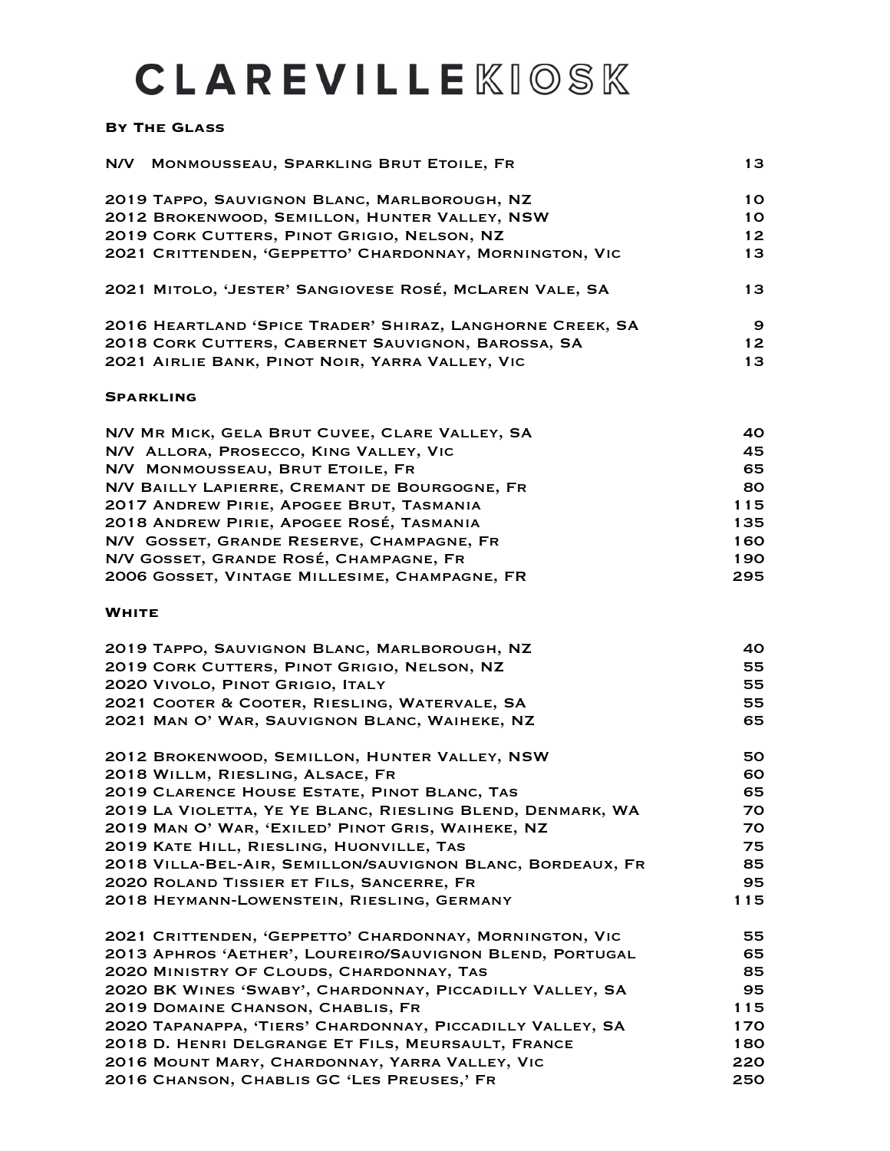# **CLAREVILLE KIOSK**

### **By The Glass**

| N/V MONMOUSSEAU, SPARKLING BRUT ETOILE, FR                | 13              |
|-----------------------------------------------------------|-----------------|
| 2019 TAPPO, SAUVIGNON BLANC, MARLBOROUGH, NZ              | 10              |
| 2012 BROKENWOOD, SEMILLON, HUNTER VALLEY, NSW             | 1 O             |
| 2019 CORK CUTTERS, PINOT GRIGIO, NELSON, NZ               | 12 <sub>1</sub> |
| 2021 CRITTENDEN, 'GEPPETTO' CHARDONNAY, MORNINGTON, VIC   | 13              |
| 2021 MITOLO, 'JESTER' SANGIOVESE ROSÉ, MCLAREN VALE, SA   | 13              |
| 2016 HEARTLAND 'SPICE TRADER' SHIRAZ, LANGHORNE CREEK, SA | 9               |
| 2018 CORK CUTTERS, CABERNET SAUVIGNON, BAROSSA, SA        | 12 <sub>1</sub> |
| 2021 AIRLIE BANK, PINOT NOIR, YARRA VALLEY, VIC           | 13              |
| <b>SPARKLING</b>                                          |                 |
| N/V MR MICK, GELA BRUT CUVEE, CLARE VALLEY, SA            | 40              |
| N/V ALLORA, PROSECCO, KING VALLEY, VIC                    | 45              |
| N/V MONMOUSSEAU, BRUT ETOILE, FR                          | 65              |
| N/V BAILLY LAPIERRE, CREMANT DE BOURGOGNE, FR             | 80              |
| 2017 ANDREW PIRIE, APOGEE BRUT, TASMANIA                  | 115             |
| 2018 ANDREW PIRIE, APOGEE ROSÉ, TASMANIA                  | 135             |
| N/V GOSSET, GRANDE RESERVE, CHAMPAGNE, FR                 | 160             |
| N/V GOSSET, GRANDE ROSÉ, CHAMPAGNE, FR                    | 190             |
| 2006 GOSSET, VINTAGE MILLESIME, CHAMPAGNE, FR             | 295             |

#### **White**

| 2019 TAPPO, SAUVIGNON BLANC, MARLBOROUGH, NZ               | 40  |
|------------------------------------------------------------|-----|
| 2019 CORK CUTTERS, PINOT GRIGIO, NELSON, NZ                | 55  |
| 2020 VIVOLO, PINOT GRIGIO, ITALY                           | 55  |
| 2021 COOTER & COOTER, RIESLING, WATERVALE, SA              | 55  |
| 2021 MAN O' WAR, SAUVIGNON BLANC, WAIHEKE, NZ              | 65  |
| 2012 BROKENWOOD, SEMILLON, HUNTER VALLEY, NSW              | 50  |
| 2018 WILLM, RIESLING, ALSACE, FR                           | 60  |
| 2019 CLARENCE HOUSE ESTATE, PINOT BLANC, TAS               | 65  |
| 2019 LA VIOLETTA, YE YE BLANC, RIESLING BLEND, DENMARK, WA | 70  |
| 2019 MAN O' WAR, 'EXILED' PINOT GRIS, WAIHEKE, NZ          | 70  |
| 2019 KATE HILL, RIESLING, HUONVILLE, TAS                   | 75  |
| 2018 VILLA-BEL-AIR, SEMILLON/SAUVIGNON BLANC, BORDEAUX, FR | 85  |
| 2020 ROLAND TISSIER ET FILS, SANCERRE, FR                  | 95  |
| 2018 HEYMANN-LOWENSTEIN, RIESLING, GERMANY                 | 115 |
| 2021 CRITTENDEN, 'GEPPETTO' CHARDONNAY, MORNINGTON, VIC    | 55  |
| 2013 APHROS 'AETHER', LOUREIRO/SAUVIGNON BLEND, PORTUGAL   | 65  |
| 2020 MINISTRY OF CLOUDS, CHARDONNAY, TAS                   | 85  |
| 2020 BK WINES 'SWABY', CHARDONNAY, PICCADILLY VALLEY, SA   | 95  |
| 2019 DOMAINE CHANSON, CHABLIS, FR                          | 115 |
| 2020 TAPANAPPA, 'TIERS' CHARDONNAY, PICCADILLY VALLEY, SA  | 170 |
| 2018 D. HENRI DELGRANGE ET FILS, MEURSAULT, FRANCE         | 180 |
| 2016 MOUNT MARY, CHARDONNAY, YARRA VALLEY, VIC             | 220 |
| 2016 CHANSON, CHABLIS GC 'LES PREUSES,' FR                 | 250 |